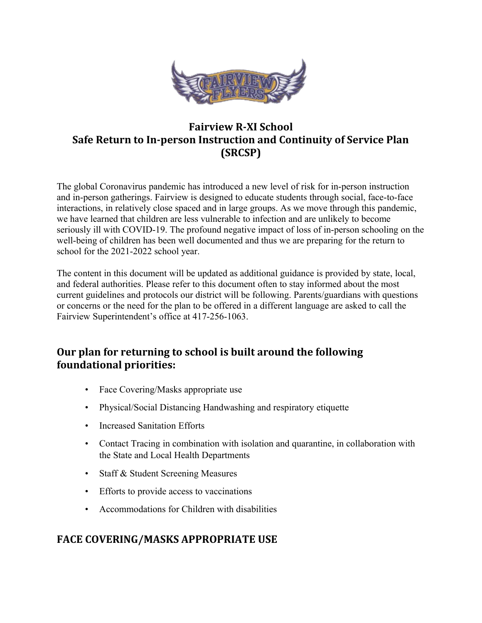

# **Fairview R-XI School Safe Return to In-person Instruction and Continuity of Service Plan (SRCSP)**

The global Coronavirus pandemic has introduced a new level of risk for in-person instruction and in-person gatherings. Fairview is designed to educate students through social, face-to-face interactions, in relatively close spaced and in large groups. As we move through this pandemic, we have learned that children are less vulnerable to infection and are unlikely to become seriously ill with COVID-19. The profound negative impact of loss of in-person schooling on the well-being of children has been well documented and thus we are preparing for the return to school for the 2021-2022 school year.

The content in this document will be updated as additional guidance is provided by state, local, and federal authorities. Please refer to this document often to stay informed about the most current guidelines and protocols our district will be following. Parents/guardians with questions or concerns or the need for the plan to be offered in a different language are asked to call the Fairview Superintendent's office at 417-256-1063.

### **Our plan for returning to school is built around the following foundational priorities:**

- Face Covering/Masks appropriate use
- Physical/Social Distancing Handwashing and respiratory etiquette
- Increased Sanitation Efforts
- Contact Tracing in combination with isolation and quarantine, in collaboration with the State and Local Health Departments
- Staff & Student Screening Measures
- Efforts to provide access to vaccinations
- Accommodations for Children with disabilities

### **FACE COVERING/MASKS APPROPRIATE USE**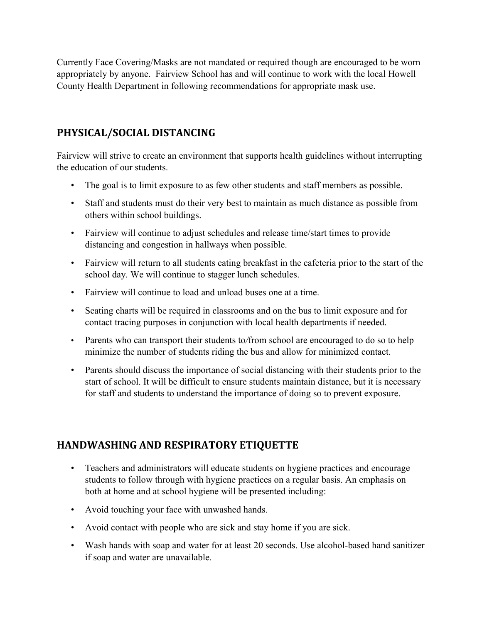Currently Face Covering/Masks are not mandated or required though are encouraged to be worn appropriately by anyone. Fairview School has and will continue to work with the local Howell County Health Department in following recommendations for appropriate mask use.

# **PHYSICAL/SOCIAL DISTANCING**

Fairview will strive to create an environment that supports health guidelines without interrupting the education of our students.

- The goal is to limit exposure to as few other students and staff members as possible.
- Staff and students must do their very best to maintain as much distance as possible from others within school buildings.
- Fairview will continue to adjust schedules and release time/start times to provide distancing and congestion in hallways when possible.
- Fairview will return to all students eating breakfast in the cafeteria prior to the start of the school day. We will continue to stagger lunch schedules.
- Fairview will continue to load and unload buses one at a time.
- Seating charts will be required in classrooms and on the bus to limit exposure and for contact tracing purposes in conjunction with local health departments if needed.
- Parents who can transport their students to*/*from school are encouraged to do so to help minimize the number of students riding the bus and allow for minimized contact.
- Parents should discuss the importance of social distancing with their students prior to the start of school. It will be difficult to ensure students maintain distance, but it is necessary for staff and students to understand the importance of doing so to prevent exposure.

# **HANDWASHING AND RESPIRATORY ETIQUETTE**

- Teachers and administrators will educate students on hygiene practices and encourage students to follow through with hygiene practices on a regular basis. An emphasis on both at home and at school hygiene will be presented including:
- Avoid touching your face with unwashed hands.
- Avoid contact with people who are sick and stay home if you are sick.
- Wash hands with soap and water for at least 20 seconds. Use alcohol-based hand sanitizer if soap and water are unavailable.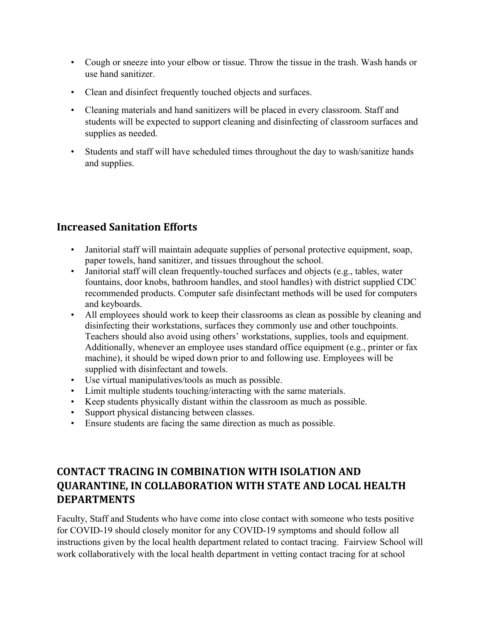- Cough or sneeze into your elbow or tissue. Throw the tissue in the trash. Wash hands or use hand sanitizer.
- Clean and disinfect frequently touched objects and surfaces.
- Cleaning materials and hand sanitizers will be placed in every classroom. Staff and students will be expected to support cleaning and disinfecting of classroom surfaces and supplies as needed.
- Students and staff will have scheduled times throughout the day to wash/sanitize hands and supplies.

# **Increased Sanitation Efforts**

- Janitorial staff will maintain adequate supplies of personal protective equipment, soap, paper towels, hand sanitizer, and tissues throughout the school.
- Janitorial staff will clean frequently-touched surfaces and objects (e.g., tables, water fountains, door knobs, bathroom handles, and stool handles) with district supplied CDC recommended products. Computer safe disinfectant methods will be used for computers and keyboards.
- All employees should work to keep their classrooms as clean as possible by cleaning and disinfecting their workstations, surfaces they commonly use and other touchpoints. Teachers should also avoid using others' workstations, supplies, tools and equipment. Additionally, whenever an employee uses standard office equipment (e.g., printer or fax machine), it should be wiped down prior to and following use. Employees will be supplied with disinfectant and towels.
- Use virtual manipulatives/tools as much as possible.
- Limit multiple students touching/interacting with the same materials.
- Keep students physically distant within the classroom as much as possible.
- Support physical distancing between classes.
- Ensure students are facing the same direction as much as possible.

# **CONTACT TRACING IN COMBINATION WITH ISOLATION AND QUARANTINE, IN COLLABORATION WITH STATE AND LOCAL HEALTH DEPARTMENTS**

Faculty, Staff and Students who have come into close contact with someone who tests positive for COVID-19 should closely monitor for any COVID-19 symptoms and should follow all instructions given by the local health department related to contact tracing. Fairview School will work collaboratively with the local health department in vetting contact tracing for at school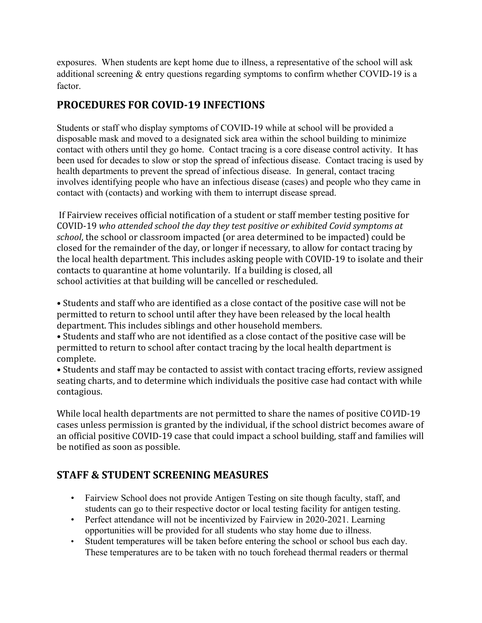exposures. When students are kept home due to illness, a representative of the school will ask additional screening & entry questions regarding symptoms to confirm whether COVID-19 is a factor.

# **PROCEDURES FOR COVID-19 INFECTIONS**

Students or staff who display symptoms of COVID-19 while at school will be provided a disposable mask and moved to a designated sick area within the school building to minimize contact with others until they go home. Contact tracing is a core disease control activity. It has been used for decades to slow or stop the spread of infectious disease. Contact tracing is used by health departments to prevent the spread of infectious disease. In general, contact tracing involves identifying people who have an infectious disease (cases) and people who they came in contact with (contacts) and working with them to interrupt disease spread.

 If Fairview receives official notification of a student or staff member testing positive for COVID-19 *who attended school the day they test positive or exhibited Covid symptoms at school*, the school or classroom impacted (or area determined to be impacted) could be closed for the remainder of the day, or longer if necessary, to allow for contact tracing by the local health department. This includes asking people with COVID-19 to isolate and their contacts to quarantine at home voluntarily. If a building is closed, all school activities at that building will be cancelled or rescheduled.

• Students and staff who are identified as a close contact of the positive case will not be permitted to return to school until after they have been released by the local health department. This includes siblings and other household members.

• Students and staff who are not identified as a close contact of the positive case will be permitted to return to school after contact tracing by the local health department is complete.

• Students and staff may be contacted to assist with contact tracing efforts, review assigned seating charts, and to determine which individuals the positive case had contact with while contagious.

While local health departments are not permitted to share the names of positive CO*V*ID-19 cases unless permission is granted by the individual, if the school district becomes aware of an official positive COVID-19 case that could impact a school building, staff and families will be notified as soon as possible.

### **STAFF & STUDENT SCREENING MEASURES**

- Fairview School does not provide Antigen Testing on site though faculty, staff, and students can go to their respective doctor or local testing facility for antigen testing.
- Perfect attendance will not be incentivized by Fairview in 2020-2021. Learning opportunities will be provided for all students who stay home due to illness.
- Student temperatures will be taken before entering the school or school bus each day. These temperatures are to be taken with no touch forehead thermal readers or thermal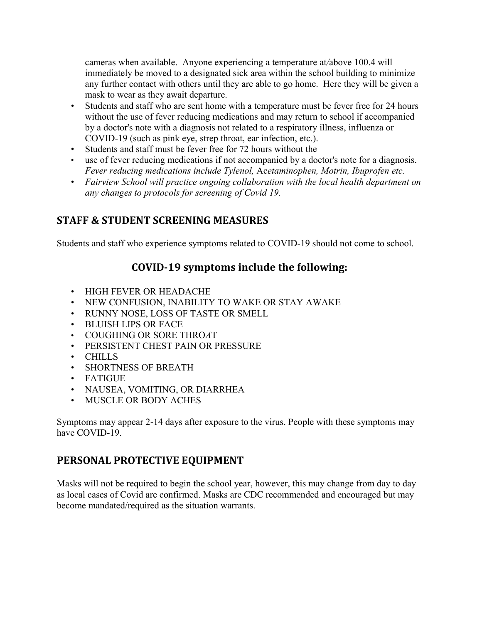cameras when available. Anyone experiencing a temperature at*/*above 100.4 will immediately be moved to a designated sick area within the school building to minimize any further contact with others until they are able to go home. Here they will be given a mask to wear as they await departure.

- Students and staff who are sent home with a temperature must be fever free for 24 hours without the use of fever reducing medications and may return to school if accompanied by a doctor's note with a diagnosis not related to a respiratory illness, influenza or COVID-19 (such as pink eye, strep throat, ear infection, etc.).
- Students and staff must be fever free for 72 hours without the
- use of fever reducing medications if not accompanied by a doctor's note for a diagnosis. *Fever reducing medications include Tylenol,* Ac*etaminophen, Motrin, Ibuprofen etc.*
- *Fairview School will practice ongoing collaboration with the local health department on any changes to protocols for screening of Covid 19.*

#### **STAFF & STUDENT SCREENING MEASURES**

Students and staff who experience symptoms related to COVID-19 should not come to school.

### **COVID-19 symptoms include the following:**

- HIGH FEVER OR HEADACHE
- NEW CONFUSION, INABILITY TO WAKE OR STAY AWAKE
- RUNNY NOSE, LOSS OF TASTE OR SMELL
- BLUISH LIPS OR FACE
- COUGHING OR SORE THRO*A*T
- PERSISTENT CHEST PAIN OR PRESSURE
- CHILLS
- SHORTNESS OF BREATH
- FATIGUE
- NAUSEA, VOMITING, OR DIARRHEA
- MUSCLE OR BODY ACHES

Symptoms may appear 2-14 days after exposure to the virus. People with these symptoms may have COVID-19.

#### **PERSONAL PROTECTIVE EQUIPMENT**

Masks will not be required to begin the school year, however, this may change from day to day as local cases of Covid are confirmed. Masks are CDC recommended and encouraged but may become mandated/required as the situation warrants.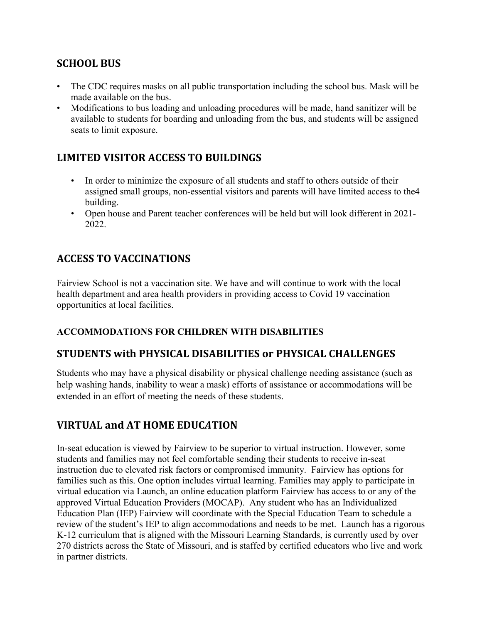### **SCHOOL BUS**

- The CDC requires masks on all public transportation including the school bus. Mask will be made available on the bus.
- Modifications to bus loading and unloading procedures will be made, hand sanitizer will be available to students for boarding and unloading from the bus, and students will be assigned seats to limit exposure.

### **LIMITED VISITOR ACCESS TO BUILDINGS**

- In order to minimize the exposure of all students and staff to others outside of their assigned small groups, non-essential visitors and parents will have limited access to the4 building.
- Open house and Parent teacher conferences will be held but will look different in 2021- 2022.

# **ACCESS TO VACCINATIONS**

Fairview School is not a vaccination site. We have and will continue to work with the local health department and area health providers in providing access to Covid 19 vaccination opportunities at local facilities.

#### **ACCOMMODATIONS FOR CHILDREN WITH DISABILITIES**

#### **STUDENTS with PHYSICAL DISABILITIES or PHYSICAL CHALLENGES**

Students who may have a physical disability or physical challenge needing assistance (such as help washing hands, inability to wear a mask) efforts of assistance or accommodations will be extended in an effort of meeting the needs of these students.

### **VIRTUAL and AT HOME EDUC***A***TION**

In-seat education is viewed by Fairview to be superior to virtual instruction. However, some students and families may not feel comfortable sending their students to receive in-seat instruction due to elevated risk factors or compromised immunity. Fairview has options for families such as this. One option includes virtual learning. Families may apply to participate in virtual education via Launch, an online education platform Fairview has access to or any of the approved Virtual Education Providers (MOCAP). Any student who has an Individualized Education Plan (IEP) Fairview will coordinate with the Special Education Team to schedule a review of the student's IEP to align accommodations and needs to be met. Launch has a rigorous K-12 curriculum that is aligned with the Missouri Learning Standards, is currently used by over 270 districts across the State of Missouri, and is staffed by certified educators who live and work in partner districts.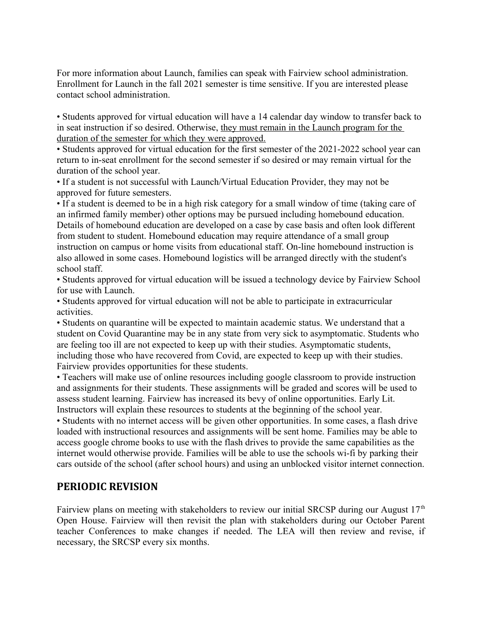For more information about Launch, families can speak with Fairview school administration. Enrollment for Launch in the fall 2021 semester is time sensitive. If you are interested please contact school administration.

• Students approved for virtual education will have a 14 calendar day window to transfer back to in seat instruction if so desired. Otherwise, they must remain in the Launch program for the duration of the semester for which they were approved.

• Students approved for virtual education for the first semester of the 2021-2022 school year can return to in-seat enrollment for the second semester if so desired or may remain virtual for the duration of the school year.

• If a student is not successful with Launch/Virtual Education Provider, they may not be approved for future semesters.

• If a student is deemed to be in a high risk category for a small window of time (taking care of an infirmed family member) other options may be pursued including homebound education. Details of homebound education are developed on a case by case basis and often look different from student to student. Homebound education may require attendance of a small group instruction on campus or home visits from educational staff. On-line homebound instruction is also allowed in some cases. Homebound logistics will be arranged directly with the student's school staff.

• Students approved for virtual education will be issued a technology device by Fairview School for use with Launch.

• Students approved for virtual education will not be able to participate in extracurricular activities.

• Students on quarantine will be expected to maintain academic status. We understand that a student on Covid Quarantine may be in any state from very sick to asymptomatic. Students who are feeling too ill are not expected to keep up with their studies. Asymptomatic students, including those who have recovered from Covid, are expected to keep up with their studies. Fairview provides opportunities for these students.

• Teachers will make use of online resources including google classroom to provide instruction and assignments for their students. These assignments will be graded and scores will be used to assess student learning. Fairview has increased its bevy of online opportunities. Early Lit. Instructors will explain these resources to students at the beginning of the school year.

• Students with no internet access will be given other opportunities. In some cases, a flash drive loaded with instructional resources and assignments will be sent home. Families may be able to access google chrome books to use with the flash drives to provide the same capabilities as the internet would otherwise provide. Families will be able to use the schools wi-fi by parking their cars outside of the school (after school hours) and using an unblocked visitor internet connection.

#### **PERIODIC REVISION**

Fairview plans on meeting with stakeholders to review our initial SRCSP during our August  $17<sup>th</sup>$ Open House. Fairview will then revisit the plan with stakeholders during our October Parent teacher Conferences to make changes if needed. The LEA will then review and revise, if necessary, the SRCSP every six months.